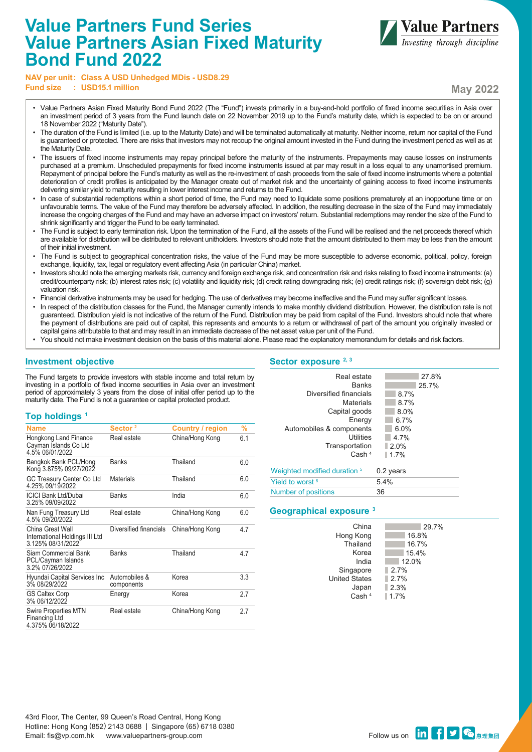# **Value Partners Fund Series Value Partners Asian Fixed Maturity Bond Fund 2022**



**NAV per unit: Class A USD Unhedged MDis - USD8.29 Fund size**  $\cdot$  **USD15.1 million May 2022** 

- Value Partners Asian Fixed Maturity Bond Fund 2022 (The "Fund") invests primarily in a buy-and-hold portfolio of fixed income securities in Asia over an investment period of 3 years from the Fund launch date on 22 November 2019 up to the Fund's maturity date, which is expected to be on or around 18 November 2022 ("Maturity Date").
- The duration of the Fund is limited (i.e. up to the Maturity Date) and will be terminated automatically at maturity. Neither income, return nor capital of the Fund is guaranteed or protected. There are risks that investors may not recoup the original amount invested in the Fund during the investment period as well as at the Maturity Date.
- The issuers of fixed income instruments may repay principal before the maturity of the instruments. Prepayments may cause losses on instruments purchased at a premium. Unscheduled prepayments for fixed income instruments issued at par may result in a loss equal to any unamortised premium. Repayment of principal before the Fund's maturity as well as the re-investment of cash proceeds from the sale of fixed income instruments where a potential deterioration of credit profiles is anticipated by the Manager create out of market risk and the uncertainty of gaining access to fixed income instruments delivering similar yield to maturity resulting in lower interest income and returns to the Fund.
- In case of substantial redemptions within a short period of time, the Fund may need to liquidate some positions prematurely at an inopportune time or on unfavourable terms. The value of the Fund may therefore be adversely affected. In addition, the resulting decrease in the size of the Fund may immediately increase the ongoing charges of the Fund and may have an adverse impact on investors' return. Substantial redemptions may render the size of the Fund to shrink significantly and trigger the Fund to be early terminated.
- The Fund is subject to early termination risk. Upon the termination of the Fund, all the assets of the Fund will be realised and the net proceeds thereof which are available for distribution will be distributed to relevant unitholders. Investors should note that the amount distributed to them may be less than the amount of their initial investment.
- The Fund is subject to geographical concentration risks, the value of the Fund may be more susceptible to adverse economic, political, policy, foreign exchange, liquidity, tax, legal or regulatory event affecting Asia (in particular China) market.
- Investors should note the emerging markets risk, currency and foreign exchange risk, and concentration risk and risks relating to fixed income instruments: (a) credit/counterparty risk; (b) interest rates risk; (c) volatility and liquidity risk; (d) credit rating downgrading risk; (e) credit ratings risk; (f) sovereign debt risk; (g) valuation risk.
- Financial derivative instruments may be used for hedging. The use of derivatives may become ineffective and the Fund may suffer significant losses.
- In respect of the distribution classes for the Fund, the Manager currently intends to make monthly dividend distribution. However, the distribution rate is not guaranteed. Distribution yield is not indicative of the return of the Fund. Distribution may be paid from capital of the Fund. Investors should note that where the payment of distributions are paid out of capital, this represents and amounts to a return or withdrawal of part of the amount you originally invested or capital gains attributable to that and may result in an immediate decrease of the net asset value per unit of the Fund.
- You should not make investment decision on the basis of this material alone. Please read the explanatory memorandum for details and risk factors.

# **Investment objective**

The Fund targets to provide investors with stable income and total return by investing in a portfolio of fixed income securities in Asia over an investment period of approximately 3 years from the close of initial offer period up to the maturity date. The Fund is not a guarantee or capital protected product.

### **Top holdings 1**

| <b>Name</b>                                                             | Sector <sup>2</sup>         | <b>Country / region</b> | %   |
|-------------------------------------------------------------------------|-----------------------------|-------------------------|-----|
| Hongkong Land Finance<br>Cayman Islands Co Ltd<br>4.5% 06/01/2022       | Real estate                 | China/Hong Kong         | 6.1 |
| Bangkok Bank PCL/Hong<br>Kong 3.875% 09/27/2022                         | Banks                       | Thailand                | 6.0 |
| GC Treasury Center Co Ltd<br>4.25% 09/19/2022                           | <b>Materials</b>            | Thailand                | 6.0 |
| <b>ICICI Bank Ltd/Dubai</b><br>3.25% 09/09/2022                         | <b>Banks</b>                | India                   | 6.0 |
| Nan Fung Treasury Ltd<br>4.5% 09/20/2022                                | Real estate                 | China/Hong Kong         | 6.0 |
| China Great Wall<br>International Holdings III Ltd<br>3.125% 08/31/2022 | Diversified financials      | China/Hong Kong         | 4.7 |
| Siam Commercial Bank<br>PCL/Cayman Islands<br>3.2% 07/26/2022           | <b>Banks</b>                | Thailand                | 4.7 |
| Hyundai Capital Services Inc<br>3% 08/29/2022                           | Automobiles &<br>components | Korea                   | 3.3 |
| <b>GS Caltex Corp</b><br>3% 06/12/2022                                  | Energy                      | Korea                   | 2.7 |
| <b>Swire Properties MTN</b><br>Financing Ltd<br>4.375% 06/18/2022       | Real estate                 | China/Hong Kong         | 2.7 |

# Sector exposure <sup>2, 3</sup>

| Real estate<br><b>Banks</b><br>Diversified financials<br>Materials<br>Capital goods<br>Energy<br>Automobiles & components<br>Utilities<br>Transportation<br>Cash <sup>4</sup> | 27.8%<br>25.7%<br>8.7%<br>8.7%<br>8.0%<br>6.7%<br>6.0%<br>4.7%<br>$2.0\%$<br>1.7% |
|-------------------------------------------------------------------------------------------------------------------------------------------------------------------------------|-----------------------------------------------------------------------------------|
| Weighted modified duration <sup>5</sup>                                                                                                                                       | $0.2$ years                                                                       |
| Yield to worst <sup>6</sup>                                                                                                                                                   | 5.4%                                                                              |
| Number of positions                                                                                                                                                           | 36                                                                                |

### **Geographical exposure 3**